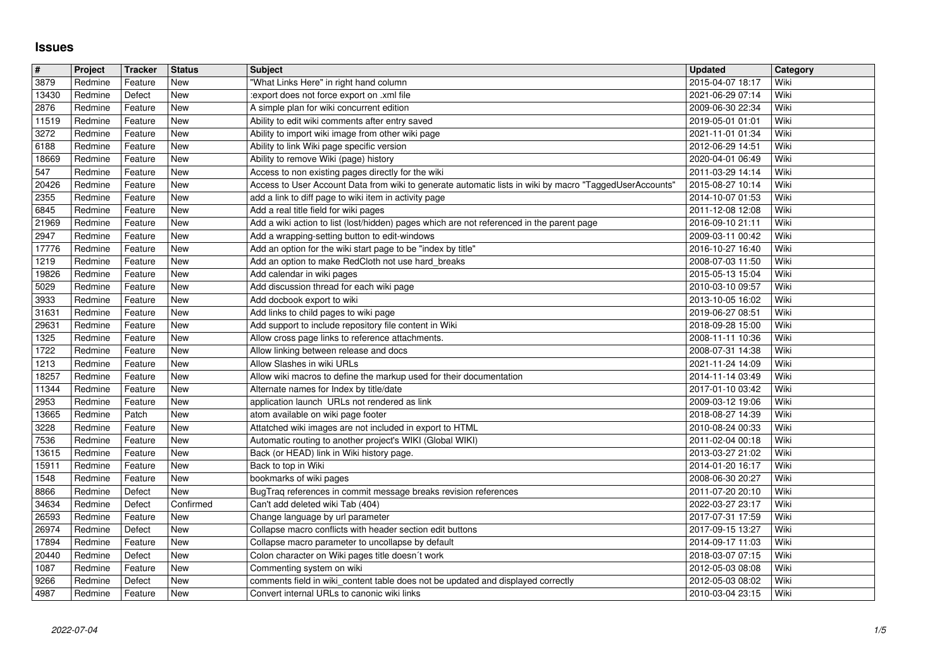## **Issues**

| #              | Project            | <b>Tracker</b>     | <b>Status</b>     | <b>Subject</b>                                                                                                                                                | <b>Updated</b>                       | Category     |
|----------------|--------------------|--------------------|-------------------|---------------------------------------------------------------------------------------------------------------------------------------------------------------|--------------------------------------|--------------|
| 3879           | Redmine            | Feature            | New               | "What Links Here" in right hand column                                                                                                                        | 2015-04-07 18:17                     | Wiki         |
| 13430<br>2876  | Redmine<br>Redmine | Defect<br>Feature  | New<br>New        | :export does not force export on .xml file<br>A simple plan for wiki concurrent edition                                                                       | 2021-06-29 07:14<br>2009-06-30 22:34 | Wiki<br>Wiki |
| 11519          | Redmine            | Feature            | <b>New</b>        | Ability to edit wiki comments after entry saved                                                                                                               | 2019-05-01 01:01                     | Wiki         |
| 3272           | Redmine            | Feature            | New               | Ability to import wiki image from other wiki page                                                                                                             | 2021-11-01 01:34                     | Wiki         |
| 6188           | Redmine            | Feature            | New               | Ability to link Wiki page specific version                                                                                                                    | 2012-06-29 14:51                     | Wiki         |
| 18669          | Redmine            | Feature            | New               | Ability to remove Wiki (page) history                                                                                                                         | 2020-04-01 06:49                     | Wiki         |
| 547<br>20426   | Redmine<br>Redmine | Feature<br>Feature | New<br>New        | Access to non existing pages directly for the wiki<br>Access to User Account Data from wiki to generate automatic lists in wiki by macro "TaggedUserAccounts' | 2011-03-29 14:14<br>2015-08-27 10:14 | Wiki<br>Wiki |
| 2355           | Redmine            | Feature            | New               | add a link to diff page to wiki item in activity page                                                                                                         | 2014-10-07 01:53                     | Wiki         |
| 6845           | Redmine            | Feature            | New               | Add a real title field for wiki pages                                                                                                                         | 2011-12-08 12:08                     | Wiki         |
| 21969          | Redmine            | Feature            | <b>New</b>        | Add a wiki action to list (lost/hidden) pages which are not referenced in the parent page                                                                     | 2016-09-10 21:11                     | Wiki         |
| 2947<br>17776  | Redmine<br>Redmine | Feature<br>Feature | New<br>New        | Add a wrapping-setting button to edit-windows<br>Add an option for the wiki start page to be "index by title"                                                 | 2009-03-11 00:42<br>2016-10-27 16:40 | Wiki<br>Wiki |
| 1219           | Redmine            | Feature            | New               | Add an option to make RedCloth not use hard_breaks                                                                                                            | 2008-07-03 11:50                     | Wiki         |
| 19826          | Redmine            | Feature            | New               | Add calendar in wiki pages                                                                                                                                    | 2015-05-13 15:04                     | Wiki         |
| 5029           | Redmine            | Feature            | <b>New</b>        | Add discussion thread for each wiki page                                                                                                                      | 2010-03-10 09:57                     | Wiki         |
| 3933           | Redmine            | Feature            | New               | Add docbook export to wiki                                                                                                                                    | 2013-10-05 16:02                     | Wiki         |
| 31631<br>29631 | Redmine<br>Redmine | Feature<br>Feature | New<br>New        | Add links to child pages to wiki page<br>Add support to include repository file content in Wiki                                                               | 2019-06-27 08:51<br>2018-09-28 15:00 | Wiki<br>Wiki |
| 1325           | Redmine            | Feature            | New               | Allow cross page links to reference attachments.                                                                                                              | 2008-11-11 10:36                     | Wiki         |
| 1722           | Redmine            | Feature            | New               | Allow linking between release and docs                                                                                                                        | 2008-07-31 14:38                     | Wiki         |
| 1213           | Redmine            | Feature            | New               | Allow Slashes in wiki URLs                                                                                                                                    | 2021-11-24 14:09                     | Wiki         |
| 18257<br>11344 | Redmine<br>Redmine | Feature<br>Feature | New<br>New        | Allow wiki macros to define the markup used for their documentation<br>Alternate names for Index by title/date                                                | 2014-11-14 03:49<br>2017-01-10 03:42 | Wiki<br>Wiki |
| 2953           | Redmine            | Feature            | <b>New</b>        | application launch URLs not rendered as link                                                                                                                  | 2009-03-12 19:06                     | Wiki         |
| 13665          | Redmine            | Patch              | New               | atom available on wiki page footer                                                                                                                            | 2018-08-27 14:39                     | Wiki         |
| 3228           | Redmine            | Feature            | New               | Attatched wiki images are not included in export to HTML                                                                                                      | 2010-08-24 00:33                     | Wiki         |
| 7536           | Redmine            | Feature            | New               | Automatic routing to another project's WIKI (Global WIKI)                                                                                                     | 2011-02-04 00:18                     | Wiki         |
| 13615<br>15911 | Redmine<br>Redmine | Feature<br>Feature | <b>New</b><br>New | Back (or HEAD) link in Wiki history page.<br>Back to top in Wiki                                                                                              | 2013-03-27 21:02<br>2014-01-20 16:17 | Wiki<br>Wiki |
| 1548           | Redmine            | Feature            | <b>New</b>        | bookmarks of wiki pages                                                                                                                                       | 2008-06-30 20:27                     | Wiki         |
| 8866           | Redmine            | Defect             | <b>New</b>        | BugTraq references in commit message breaks revision references                                                                                               | 2011-07-20 20:10                     | Wiki         |
| 34634          | Redmine            | Defect             | Confirmed         | Can't add deleted wiki Tab (404)                                                                                                                              | 2022-03-27 23:17                     | Wiki         |
| 26593          | Redmine            | Feature            | New               | Change language by url parameter                                                                                                                              | 2017-07-31 17:59                     | Wiki<br>Wiki |
| 26974<br>17894 | Redmine<br>Redmine | Defect<br>Feature  | New<br>New        | Collapse macro conflicts with header section edit buttons<br>Collapse macro parameter to uncollapse by default                                                | 2017-09-15 13:27<br>2014-09-17 11:03 | Wiki         |
| 20440          | Redmine            | Defect             | New               | Colon character on Wiki pages title doesn't work                                                                                                              | 2018-03-07 07:15                     | Wiki         |
| 1087           | Redmine            | Feature            | New               | Commenting system on wiki                                                                                                                                     | 2012-05-03 08:08                     | Wiki         |
| 9266<br>4987   | Redmine<br>Redmine | Defect<br>Feature  | New<br>New        | comments field in wiki_content table does not be updated and displayed correctly<br>Convert internal URLs to canonic wiki links                               | 2012-05-03 08:02<br>2010-03-04 23:15 | Wiki<br>Wiki |
|                |                    |                    |                   |                                                                                                                                                               |                                      |              |
|                |                    |                    |                   |                                                                                                                                                               |                                      |              |
|                |                    |                    |                   |                                                                                                                                                               |                                      |              |
|                |                    |                    |                   |                                                                                                                                                               |                                      |              |
|                |                    |                    |                   |                                                                                                                                                               |                                      |              |
|                |                    |                    |                   |                                                                                                                                                               |                                      |              |
|                |                    |                    |                   |                                                                                                                                                               |                                      |              |
|                |                    |                    |                   |                                                                                                                                                               |                                      |              |
|                |                    |                    |                   |                                                                                                                                                               |                                      |              |
|                |                    |                    |                   |                                                                                                                                                               |                                      |              |
|                |                    |                    |                   |                                                                                                                                                               |                                      |              |
|                |                    |                    |                   |                                                                                                                                                               |                                      |              |
|                |                    |                    |                   |                                                                                                                                                               |                                      |              |
|                |                    |                    |                   |                                                                                                                                                               |                                      |              |
|                |                    |                    |                   |                                                                                                                                                               |                                      |              |
|                |                    |                    |                   |                                                                                                                                                               |                                      |              |
|                |                    |                    |                   |                                                                                                                                                               |                                      |              |
|                |                    |                    |                   |                                                                                                                                                               |                                      |              |
|                |                    |                    |                   |                                                                                                                                                               |                                      |              |
|                |                    |                    |                   |                                                                                                                                                               |                                      |              |
|                |                    |                    |                   |                                                                                                                                                               |                                      |              |
|                |                    |                    |                   |                                                                                                                                                               |                                      |              |
|                |                    |                    |                   |                                                                                                                                                               |                                      |              |
|                |                    |                    |                   |                                                                                                                                                               |                                      |              |
|                |                    |                    |                   |                                                                                                                                                               |                                      |              |
|                |                    |                    |                   |                                                                                                                                                               |                                      |              |
|                |                    |                    |                   |                                                                                                                                                               |                                      |              |
|                |                    |                    |                   |                                                                                                                                                               |                                      |              |
|                |                    |                    |                   |                                                                                                                                                               |                                      |              |
|                |                    |                    |                   |                                                                                                                                                               |                                      |              |
|                |                    |                    |                   |                                                                                                                                                               |                                      |              |
|                |                    |                    |                   |                                                                                                                                                               |                                      |              |
|                |                    |                    |                   |                                                                                                                                                               |                                      |              |
|                |                    |                    |                   |                                                                                                                                                               |                                      |              |
|                |                    |                    |                   |                                                                                                                                                               |                                      |              |
|                |                    |                    |                   |                                                                                                                                                               |                                      |              |
|                |                    |                    |                   |                                                                                                                                                               |                                      |              |
|                |                    |                    |                   |                                                                                                                                                               |                                      |              |
|                |                    |                    |                   |                                                                                                                                                               |                                      |              |
|                |                    |                    |                   |                                                                                                                                                               |                                      |              |
|                |                    |                    |                   |                                                                                                                                                               |                                      |              |
|                |                    |                    |                   |                                                                                                                                                               |                                      |              |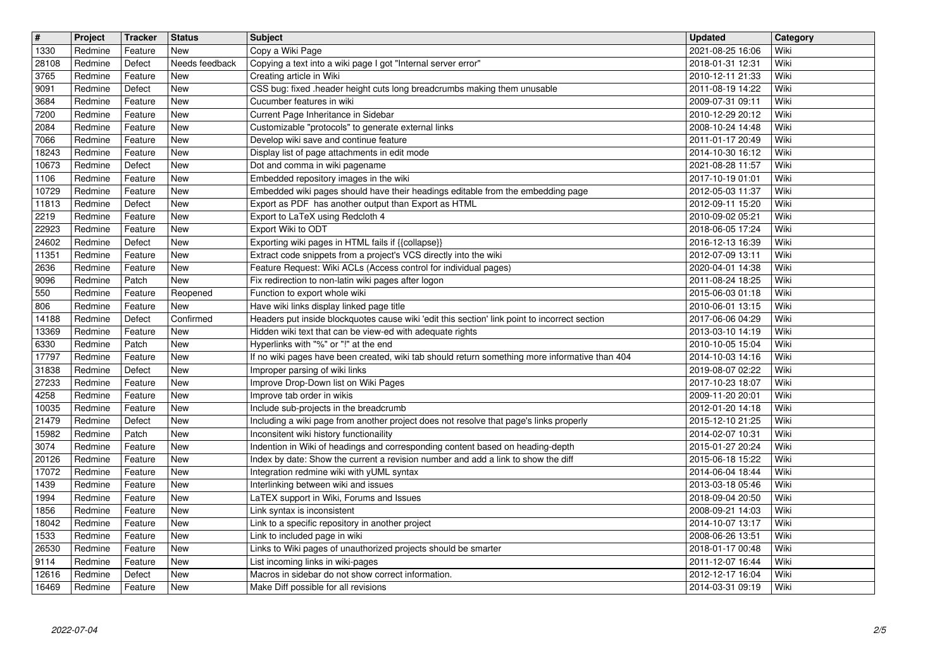| $\overline{\mathbf{H}}$<br>1330 | Project<br>Redmine | Tracker<br>Feature | <b>Status</b><br><b>New</b> | <b>Subject</b><br>Copy a Wiki Page                                                                                                                                  | <b>Updated</b><br>2021-08-25 16:06   | Category<br>Wiki |
|---------------------------------|--------------------|--------------------|-----------------------------|---------------------------------------------------------------------------------------------------------------------------------------------------------------------|--------------------------------------|------------------|
| 28108                           | Redmine            | Defect             | Needs feedback              | Copying a text into a wiki page I got "Internal server error"                                                                                                       | 2018-01-31 12:31                     | Wiki             |
| 3765<br>9091                    | Redmine<br>Redmine | Feature<br>Defect  | <b>New</b><br><b>New</b>    | Creating article in Wiki<br>CSS bug: fixed .header height cuts long breadcrumbs making them unusable                                                                | 2010-12-11 21:33<br>2011-08-19 14:22 | Wiki<br>Wiki     |
| 3684                            | Redmine            | Feature            | <b>New</b>                  | Cucumber features in wiki                                                                                                                                           | 2009-07-31 09:11                     | Wiki             |
| 7200<br>2084                    | Redmine<br>Redmine | Feature<br>Feature | <b>New</b><br>New           | Current Page Inheritance in Sidebar<br>Customizable "protocols" to generate external links                                                                          | 2010-12-29 20:12<br>2008-10-24 14:48 | Wiki<br>Wiki     |
| 7066<br>18243                   | Redmine<br>Redmine | Feature<br>Feature | New<br><b>New</b>           | Develop wiki save and continue feature<br>Display list of page attachments in edit mode                                                                             | 2011-01-17 20:49<br>2014-10-30 16:12 | Wiki<br>Wiki     |
| 10673                           | Redmine            | Defect             | New                         | Dot and comma in wiki pagename                                                                                                                                      | 2021-08-28 11:57                     | Wiki             |
| 1106<br>10729                   | Redmine<br>Redmine | Feature<br>Feature | <b>New</b><br><b>New</b>    | Embedded repository images in the wiki<br>Embedded wiki pages should have their headings editable from the embedding page                                           | 2017-10-19 01:01<br>2012-05-03 11:37 | Wiki<br>Wiki     |
| 11813                           | Redmine            | Defect             | New                         | Export as PDF has another output than Export as HTML                                                                                                                | 2012-09-11 15:20                     | Wiki             |
| 2219<br>22923                   | Redmine<br>Redmine | Feature<br>Feature | <b>New</b><br><b>New</b>    | Export to LaTeX using Redcloth 4<br>Export Wiki to ODT                                                                                                              | 2010-09-02 05:21<br>2018-06-05 17:24 | Wiki<br>Wiki     |
| 24602<br>11351                  | Redmine<br>Redmine | Defect<br>Feature  | New<br>New                  | Exporting wiki pages in HTML fails if {{collapse}}<br>Extract code snippets from a project's VCS directly into the wiki                                             | 2016-12-13 16:39<br>2012-07-09 13:11 | Wiki<br>Wiki     |
| 2636                            | Redmine            | Feature            | New                         | Feature Request: Wiki ACLs (Access control for individual pages)                                                                                                    | 2020-04-01 14:38                     | Wiki             |
| 9096<br>550                     | Redmine<br>Redmine | Patch<br>Feature   | New<br>Reopened             | Fix redirection to non-latin wiki pages after logon<br>Function to export whole wiki                                                                                | 2011-08-24 18:25<br>2015-06-03 01:18 | Wiki<br>Wiki     |
| 806                             | Redmine            | Feature            | New<br>Confirmed            | Have wiki links display linked page title                                                                                                                           | 2010-06-01 13:15                     | Wiki<br>Wiki     |
| 14188<br>13369                  | Redmine<br>Redmine | Defect<br>Feature  | New                         | Headers put inside blockquotes cause wiki 'edit this section' link point to incorrect section<br>Hidden wiki text that can be view-ed with adequate rights          | 2017-06-06 04:29<br>2013-03-10 14:19 | Wiki             |
| 6330<br>17797                   | Redmine<br>Redmine | Patch<br>Feature   | <b>New</b><br>New           | Hyperlinks with "%" or "!" at the end<br>If no wiki pages have been created, wiki tab should return something more informative than 404                             | 2010-10-05 15:04<br>2014-10-03 14:16 | Wiki<br>Wiki     |
| 31838                           | Redmine            | Defect             | New                         | Improper parsing of wiki links                                                                                                                                      | 2019-08-07 02:22                     | Wiki             |
| 27233<br>4258                   | Redmine<br>Redmine | Feature<br>Feature | New<br>New                  | Improve Drop-Down list on Wiki Pages<br>Improve tab order in wikis                                                                                                  | 2017-10-23 18:07<br>2009-11-20 20:01 | Wiki<br>Wiki     |
| 10035<br>21479                  | Redmine<br>Redmine | Feature<br>Defect  | <b>New</b><br><b>New</b>    | Include sub-projects in the breadcrumb<br>Including a wiki page from another project does not resolve that page's links properly                                    | 2012-01-20 14:18<br>2015-12-10 21:25 | Wiki<br>Wiki     |
| 15982                           | Redmine            | Patch              | New                         | Inconsitent wiki history functionaility                                                                                                                             | 2014-02-07 10:31                     | Wiki             |
| 3074<br>20126                   | Redmine<br>Redmine | Feature<br>Feature | New<br><b>New</b>           | Indention in Wiki of headings and corresponding content based on heading-depth<br>Index by date: Show the current a revision number and add a link to show the diff | 2015-01-27 20:24<br>2015-06-18 15:22 | Wiki<br>Wiki     |
| 17072                           | Redmine            | Feature            | New                         | Integration redmine wiki with yUML syntax                                                                                                                           | 2014-06-04 18:44                     | Wiki             |
| 1439<br>1994                    | Redmine<br>Redmine | Feature<br>Feature | New<br>New                  | Interlinking between wiki and issues<br>LaTEX support in Wiki, Forums and Issues                                                                                    | 2013-03-18 05:46<br>2018-09-04 20:50 | Wiki<br>Wiki     |
| 1856<br>18042                   | Redmine<br>Redmine | Feature<br>Feature | New<br>New                  | Link syntax is inconsistent<br>Link to a specific repository in another project                                                                                     | 2008-09-21 14:03<br>2014-10-07 13:17 | Wiki<br>Wiki     |
| 1533                            | Redmine            | Feature            | New                         | Link to included page in wiki                                                                                                                                       | 2008-06-26 13:51                     | Wiki             |
| 26530<br>9114                   | Redmine<br>Redmine | Feature<br>Feature | New<br>New                  | Links to Wiki pages of unauthorized projects should be smarter<br>List incoming links in wiki-pages                                                                 | 2018-01-17 00:48<br>2011-12-07 16:44 | Wiki<br>Wiki     |
| 12616<br>16469                  | Redmine<br>Redmine | Defect<br>Feature  | New<br>New                  | Macros in sidebar do not show correct information.<br>Make Diff possible for all revisions                                                                          | 2012-12-17 16:04<br>2014-03-31 09:19 | Wiki<br>Wiki     |
|                                 |                    |                    |                             |                                                                                                                                                                     |                                      |                  |
|                                 |                    |                    |                             |                                                                                                                                                                     |                                      |                  |
|                                 |                    |                    |                             |                                                                                                                                                                     |                                      |                  |
|                                 |                    |                    |                             |                                                                                                                                                                     |                                      |                  |
|                                 |                    |                    |                             |                                                                                                                                                                     |                                      |                  |
|                                 |                    |                    |                             |                                                                                                                                                                     |                                      |                  |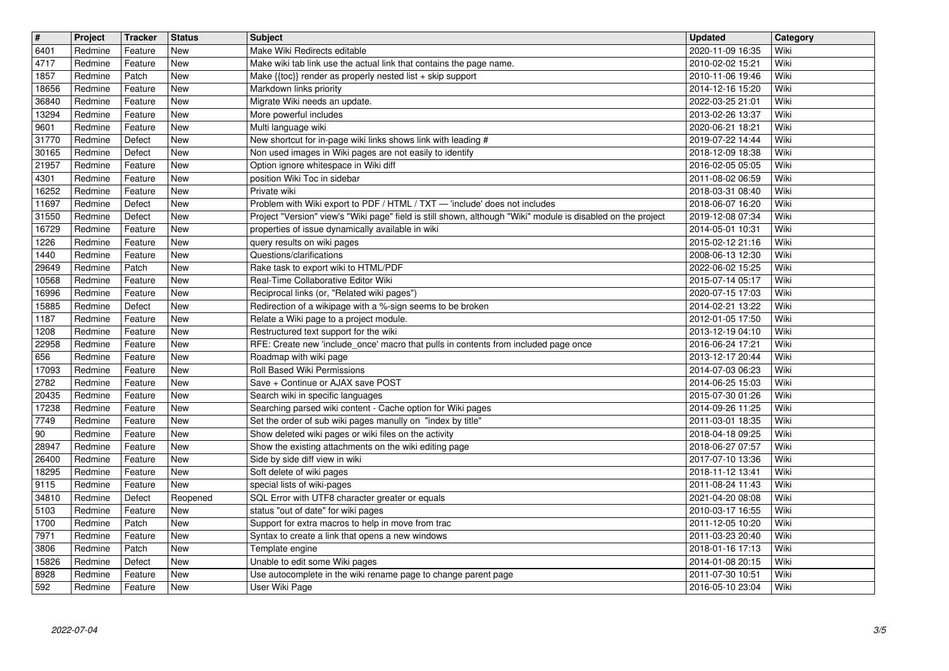| $\sqrt{t}$     | Project            | <b>Tracker</b>     | <b>Status</b>            | <b>Subject</b>                                                                                                                                                    | <b>Updated</b>                       | <b>Category</b> |
|----------------|--------------------|--------------------|--------------------------|-------------------------------------------------------------------------------------------------------------------------------------------------------------------|--------------------------------------|-----------------|
| 6401<br>4717   | Redmine<br>Redmine | Feature<br>Feature | New<br><b>New</b>        | Make Wiki Redirects editable<br>Make wiki tab link use the actual link that contains the page name.                                                               | 2020-11-09 16:35<br>2010-02-02 15:21 | Wiki<br>Wiki    |
| 1857           | Redmine            | Patch              | <b>New</b>               | Make {{toc}} render as properly nested list + skip support                                                                                                        | 2010-11-06 19:46                     | Wiki            |
| 18656          | Redmine            | Feature            | New                      | Markdown links priority                                                                                                                                           | 2014-12-16 15:20                     | Wiki            |
| 36840<br>13294 | Redmine<br>Redmine | Feature<br>Feature | New<br><b>New</b>        | Migrate Wiki needs an update.<br>More powerful includes                                                                                                           | 2022-03-25 21:01<br>2013-02-26 13:37 | Wiki<br>Wiki    |
| 9601           | Redmine            | Feature            | <b>New</b>               | Multi language wiki                                                                                                                                               | 2020-06-21 18:21                     | Wiki            |
| 31770<br>30165 | Redmine<br>Redmine | Defect<br>Defect   | New<br>New               | New shortcut for in-page wiki links shows link with leading #<br>Non used images in Wiki pages are not easily to identify                                         | 2019-07-22 14:44<br>2018-12-09 18:38 | Wiki<br>Wiki    |
| 21957          | Redmine            | Feature            | New                      | Option ignore whitespace in Wiki diff                                                                                                                             | 2016-02-05 05:05                     | Wiki            |
| 4301<br>16252  | Redmine<br>Redmine | Feature<br>Feature | <b>New</b><br><b>New</b> | position Wiki Toc in sidebar<br>Private wiki                                                                                                                      | 2011-08-02 06:59<br>2018-03-31 08:40 | Wiki<br>Wiki    |
| 11697          | Redmine            | Defect             | New                      | Problem with Wiki export to PDF / HTML / TXT - 'include' does not includes                                                                                        | 2018-06-07 16:20                     | Wiki            |
| 31550<br>16729 | Redmine<br>Redmine | Defect<br>Feature  | New<br><b>New</b>        | Project "Version" view's "Wiki page" field is still shown, although "Wiki" module is disabled on the project<br>properties of issue dynamically available in wiki | 2019-12-08 07:34<br>2014-05-01 10:31 | Wiki<br>Wiki    |
| 1226           | Redmine            | Feature            | <b>New</b>               | query results on wiki pages                                                                                                                                       | 2015-02-12 21:16                     | Wiki            |
| 1440<br>29649  | Redmine<br>Redmine | Feature<br>Patch   | New<br>New               | Questions/clarifications<br>Rake task to export wiki to HTML/PDF                                                                                                  | 2008-06-13 12:30<br>2022-06-02 15:25 | Wiki<br>Wiki    |
| 10568          | Redmine            | Feature            | New                      | Real-Time Collaborative Editor Wiki                                                                                                                               | 2015-07-14 05:17                     | Wiki            |
| 16996<br>15885 | Redmine<br>Redmine | Feature<br>Defect  | New<br>New               | Reciprocal links (or, "Related wiki pages")<br>Redirection of a wikipage with a %-sign seems to be broken                                                         | 2020-07-15 17:03<br>2014-02-21 13:22 | Wiki<br>Wiki    |
| 1187           | Redmine            | Feature            | New                      | Relate a Wiki page to a project module.                                                                                                                           | 2012-01-05 17:50                     | Wiki            |
| 1208<br>22958  | Redmine<br>Redmine | Feature<br>Feature | New<br>New               | Restructured text support for the wiki<br>RFE: Create new 'include_once' macro that pulls in contents from included page once                                     | 2013-12-19 04:10<br>2016-06-24 17:21 | Wiki<br>Wiki    |
| 656            | Redmine            | Feature            | New                      | Roadmap with wiki page                                                                                                                                            | 2013-12-17 20:44                     | Wiki            |
| 17093          | Redmine            | Feature            | New                      | Roll Based Wiki Permissions                                                                                                                                       | 2014-07-03 06:23                     | Wiki            |
| 2782<br>20435  | Redmine<br>Redmine | Feature<br>Feature | New<br>New               | Save + Continue or AJAX save POST<br>Search wiki in specific languages                                                                                            | 2014-06-25 15:03<br>2015-07-30 01:26 | Wiki<br>Wiki    |
| 17238          | Redmine            | Feature            | New                      | Searching parsed wiki content - Cache option for Wiki pages                                                                                                       | 2014-09-26 11:25                     | Wiki            |
| 7749<br>$90\,$ | Redmine<br>Redmine | Feature<br>Feature | <b>New</b><br>New        | Set the order of sub wiki pages manully on "index by title"<br>Show deleted wiki pages or wiki files on the activity                                              | 2011-03-01 18:35<br>2018-04-18 09:25 | Wiki<br>Wiki    |
| 28947          | Redmine            | Feature            | <b>New</b>               | Show the existing attachments on the wiki editing page                                                                                                            | 2018-06-27 07:57                     | Wiki            |
| 26400<br>18295 | Redmine<br>Redmine | Feature<br>Feature | New<br>New               | Side by side diff view in wiki<br>Soft delete of wiki pages                                                                                                       | 2017-07-10 13:36<br>2018-11-12 13:41 | Wiki<br>Wiki    |
| 9115           | Redmine            | Feature            | New                      | special lists of wiki-pages                                                                                                                                       | 2011-08-24 11:43                     | Wiki            |
| 34810<br>5103  | Redmine<br>Redmine | Defect<br>Feature  | Reopened<br>New          | SQL Error with UTF8 character greater or equals<br>status "out of date" for wiki pages                                                                            | 2021-04-20 08:08<br>2010-03-17 16:55 | Wiki<br>Wiki    |
| 1700           | Redmine            | Patch              | New                      | Support for extra macros to help in move from trac                                                                                                                | 2011-12-05 10:20                     | Wiki            |
| 7971<br>3806   | Redmine<br>Redmine | Feature<br>Patch   | New<br>New               | Syntax to create a link that opens a new windows<br>Template engine                                                                                               | 2011-03-23 20:40<br>2018-01-16 17:13 | Wiki<br>Wiki    |
| 15826          | Redmine            | Defect             | New                      | Unable to edit some Wiki pages                                                                                                                                    | 2014-01-08 20:15                     | Wiki            |
| 8928<br>592    | Redmine<br>Redmine | Feature<br>Feature | New<br>New               | Use autocomplete in the wiki rename page to change parent page<br>User Wiki Page                                                                                  | 2011-07-30 10:51<br>2016-05-10 23:04 | Wiki<br>Wiki    |
|                |                    |                    |                          |                                                                                                                                                                   |                                      |                 |
|                |                    |                    |                          |                                                                                                                                                                   |                                      |                 |
|                |                    |                    |                          |                                                                                                                                                                   |                                      |                 |
|                |                    |                    |                          |                                                                                                                                                                   |                                      |                 |
|                |                    |                    |                          |                                                                                                                                                                   |                                      |                 |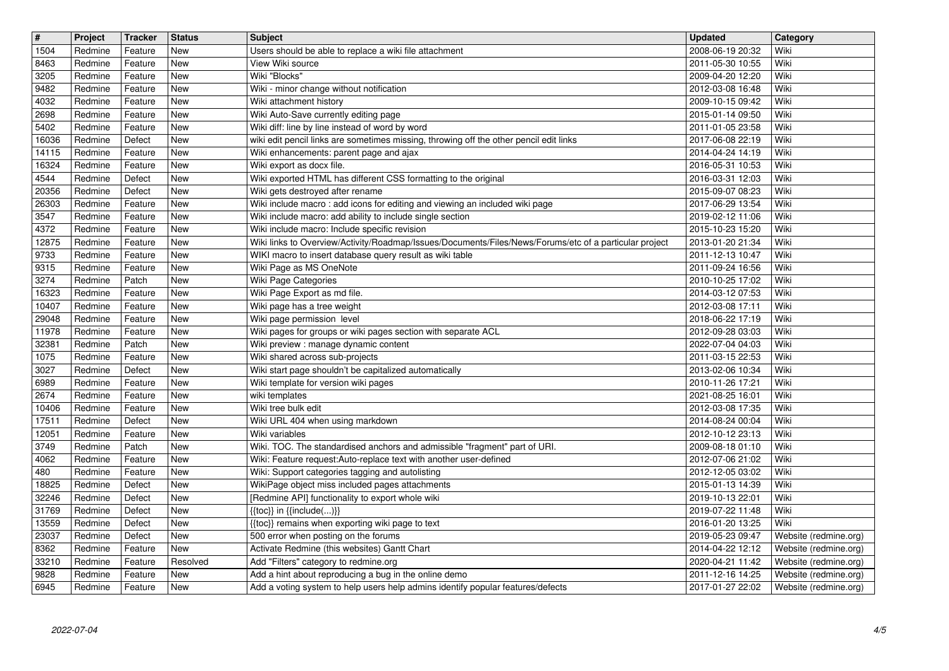| $\boxed{\texttt{#}}$ | Project            | <b>Tracker</b>     | <b>Status</b> | <b>Subject</b>                                                                                                                           | Updated                              | Category                                       |
|----------------------|--------------------|--------------------|---------------|------------------------------------------------------------------------------------------------------------------------------------------|--------------------------------------|------------------------------------------------|
| 1504                 | Redmine            | Feature            | New           | Users should be able to replace a wiki file attachment                                                                                   | 2008-06-19 20:32                     | Wiki                                           |
| 8463                 | Redmine            | Feature            | New           | View Wiki source                                                                                                                         | 2011-05-30 10:55                     | Wiki                                           |
| 3205                 | Redmine            | Feature            | New           | Wiki "Blocks"                                                                                                                            | 2009-04-20 12:20                     | Wiki                                           |
| 9482<br>4032         | Redmine<br>Redmine | Feature<br>Feature | New<br>New    | Wiki - minor change without notification<br>Wiki attachment history                                                                      | 2012-03-08 16:48<br>2009-10-15 09:42 | Wiki<br>Wiki                                   |
| 2698                 | Redmine            | Feature            | New           | Wiki Auto-Save currently editing page                                                                                                    | 2015-01-14 09:50                     | Wiki                                           |
| 5402                 | Redmine            | Feature            | New           | Wiki diff: line by line instead of word by word                                                                                          | 2011-01-05 23:58                     | Wiki                                           |
| 16036                | Redmine            | Defect             | New           | wiki edit pencil links are sometimes missing, throwing off the other pencil edit links                                                   | 2017-06-08 22:19                     | Wiki                                           |
| 14115                | Redmine            | Feature            | New           | Wiki enhancements: parent page and ajax                                                                                                  | 2014-04-24 14:19                     | Wiki                                           |
| 16324                | Redmine            | Feature            | <b>New</b>    | Wiki export as docx file.                                                                                                                | 2016-05-31 10:53                     | Wiki                                           |
| 4544                 | Redmine            | Defect             | <b>New</b>    | Wiki exported HTML has different CSS formatting to the original                                                                          | 2016-03-31 12:03                     | Wiki                                           |
| 20356                | Redmine            | Defect             | New           | Wiki gets destroyed after rename                                                                                                         | 2015-09-07 08:23                     | Wiki<br>Wiki                                   |
| 26303<br>3547        | Redmine<br>Redmine | Feature<br>Feature | New<br>New    | Wiki include macro: add icons for editing and viewing an included wiki page<br>Wiki include macro: add ability to include single section | 2017-06-29 13:54<br>2019-02-12 11:06 | Wiki                                           |
| 4372                 | Redmine            | Feature            | New           | Wiki include macro: Include specific revision                                                                                            | 2015-10-23 15:20                     | Wiki                                           |
| 12875                | Redmine            | Feature            | New           | Wiki links to Overview/Activity/Roadmap/Issues/Documents/Files/News/Forums/etc of a particular project                                   | 2013-01-20 21:34                     | Wiki                                           |
| 9733                 | Redmine            | Feature            | New           | WIKI macro to insert database query result as wiki table                                                                                 | 2011-12-13 10:47                     | Wiki                                           |
| 9315                 | Redmine            | Feature            | <b>New</b>    | Wiki Page as MS OneNote                                                                                                                  | 2011-09-24 16:56                     | Wiki                                           |
| 3274                 | Redmine            | Patch              | New           | Wiki Page Categories                                                                                                                     | 2010-10-25 17:02                     | Wiki                                           |
| 16323                | Redmine            | Feature            | <b>New</b>    | Wiki Page Export as md file.                                                                                                             | 2014-03-12 07:53                     | Wiki                                           |
| 10407                | Redmine            | Feature            | New           | Wiki page has a tree weight                                                                                                              | 2012-03-08 17:11                     | Wiki                                           |
| 29048                | Redmine            | Feature            | New           | Wiki page permission level                                                                                                               | 2018-06-22 17:19                     | Wiki                                           |
| 11978<br>32381       | Redmine<br>Redmine | Feature<br>Patch   | New<br>New    | Wiki pages for groups or wiki pages section with separate ACL<br>Wiki preview : manage dynamic content                                   | 2012-09-28 03:03<br>2022-07-04 04:03 | Wiki<br>Wiki                                   |
| 1075                 | Redmine            | Feature            | New           | Wiki shared across sub-projects                                                                                                          | 2011-03-15 22:53                     | Wiki                                           |
| 3027                 | Redmine            | Defect             | New           | Wiki start page shouldn't be capitalized automatically                                                                                   | 2013-02-06 10:34                     | Wiki                                           |
| 6989                 | Redmine            | Feature            | <b>New</b>    | Wiki template for version wiki pages                                                                                                     | 2010-11-26 17:21                     | Wiki                                           |
| 2674                 | Redmine            | Feature            | New           | wiki templates                                                                                                                           | 2021-08-25 16:01                     | Wiki                                           |
| 10406                | Redmine            | Feature            | <b>New</b>    | Wiki tree bulk edit                                                                                                                      | 2012-03-08 17:35                     | Wiki                                           |
| 17511                | Redmine            | Defect             | New           | Wiki URL 404 when using markdown                                                                                                         | 2014-08-24 00:04                     | Wiki                                           |
| 12051                | Redmine            | Feature            | New           | Wiki variables                                                                                                                           | 2012-10-12 23:13                     | Wiki                                           |
| 3749                 | Redmine            | Patch              | New           | Wiki. TOC. The standardised anchors and admissible "fragment" part of URI.                                                               | 2009-08-18 01:10                     | Wiki                                           |
| 4062<br>480          | Redmine<br>Redmine | Feature<br>Feature | New<br>New    | Wiki: Feature request:Auto-replace text with another user-defined<br>Wiki: Support categories tagging and autolisting                    | 2012-07-06 21:02<br>2012-12-05 03:02 | Wiki<br>Wiki                                   |
| 18825                | Redmine            | Defect             | New           | WikiPage object miss included pages attachments                                                                                          | 2015-01-13 14:39                     | Wiki                                           |
| 32246                | Redmine            | Defect             | <b>New</b>    | [Redmine API] functionality to export whole wiki                                                                                         | 2019-10-13 22:01                     | Wiki                                           |
| 31769                | Redmine            | Defect             | New           | $\{\{\textsf{toc}\}\}\$ in $\{\{\textsf{include}()\}\}$                                                                                  | 2019-07-22 11:48                     | Wiki                                           |
| 13559                | Redmine            | Defect             | New           | {{toc}} remains when exporting wiki page to text                                                                                         | 2016-01-20 13:25                     | Wiki                                           |
| 23037                | Redmine            | Defect             | New           | 500 error when posting on the forums                                                                                                     | 2019-05-23 09:47                     | Website (redmine.org)                          |
| 8362                 | Redmine            | Feature            | New           | Activate Redmine (this websites) Gantt Chart                                                                                             | 2014-04-22 12:12                     | Website (redmine.org)                          |
| 33210                | Redmine            | Feature            | Resolved      | Add "Filters" category to redmine.org                                                                                                    | 2020-04-21 11:42                     | Website (redmine.org)                          |
| 9828<br>6945         | Redmine<br>Redmine | Feature<br>Feature | New<br>New    | Add a hint about reproducing a bug in the online demo<br>Add a voting system to help users help admins identify popular features/defects | 2011-12-16 14:25<br>2017-01-27 22:02 | Website (redmine.org)<br>Website (redmine.org) |
|                      |                    |                    |               |                                                                                                                                          |                                      |                                                |
|                      |                    |                    |               |                                                                                                                                          |                                      |                                                |
|                      |                    |                    |               |                                                                                                                                          |                                      |                                                |
|                      |                    |                    |               |                                                                                                                                          |                                      |                                                |
|                      |                    |                    |               |                                                                                                                                          |                                      |                                                |
|                      |                    |                    |               |                                                                                                                                          |                                      |                                                |
|                      |                    |                    |               |                                                                                                                                          |                                      |                                                |
|                      |                    |                    |               |                                                                                                                                          |                                      |                                                |
|                      |                    |                    |               |                                                                                                                                          |                                      |                                                |
|                      |                    |                    |               |                                                                                                                                          |                                      |                                                |
|                      |                    |                    |               |                                                                                                                                          |                                      |                                                |
|                      |                    |                    |               |                                                                                                                                          |                                      |                                                |
|                      |                    |                    |               |                                                                                                                                          |                                      |                                                |